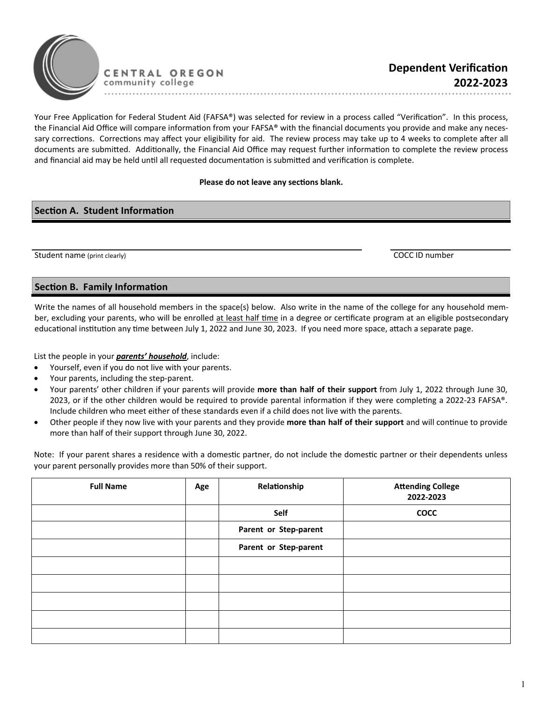

Your Free Application for Federal Student Aid (FAFSA®) was selected for review in a process called "Verification". In this process, the Financial Aid Office will compare information from your FAFSA® with the financial documents you provide and make any necessary corrections. Corrections may affect your eligibility for aid. The review process may take up to 4 weeks to complete after all documents are submitted. Additionally, the Financial Aid Office may request further information to complete the review process and financial aid may be held until all requested documentation is submitted and verification is complete.

## **Please do not leave any sections blank.**

## **Section A. Student Information**

Student name (print clearly) COCC ID number

## **Section B. Family Information**

Write the names of all household members in the space(s) below. Also write in the name of the college for any household member, excluding your parents, who will be enrolled at least half time in a degree or certificate program at an eligible postsecondary educational institution any time between July 1, 2022 and June 30, 2023. If you need more space, attach a separate page.

List the people in your *parents' household*, include:

- Yourself, even if you do not live with your parents.
- Your parents, including the step-parent.
- Your parents' other children if your parents will provide more than half of their support from July 1, 2022 through June 30, 2023, or if the other children would be required to provide parental information if they were completing a 2022-23 FAFSA®. Include children who meet either of these standards even if a child does not live with the parents.
- Other people if they now live with your parents and they provide more than half of their support and will continue to provide more than half of their support through June 30, 2022.

Note: If your parent shares a residence with a domestic partner, do not include the domestic partner or their dependents unless your parent personally provides more than 50% of their support.

| <b>Full Name</b> | Age | Relationship          | <b>Attending College</b><br>2022-2023 |
|------------------|-----|-----------------------|---------------------------------------|
|                  |     | Self                  | <b>COCC</b>                           |
|                  |     | Parent or Step-parent |                                       |
|                  |     | Parent or Step-parent |                                       |
|                  |     |                       |                                       |
|                  |     |                       |                                       |
|                  |     |                       |                                       |
|                  |     |                       |                                       |
|                  |     |                       |                                       |